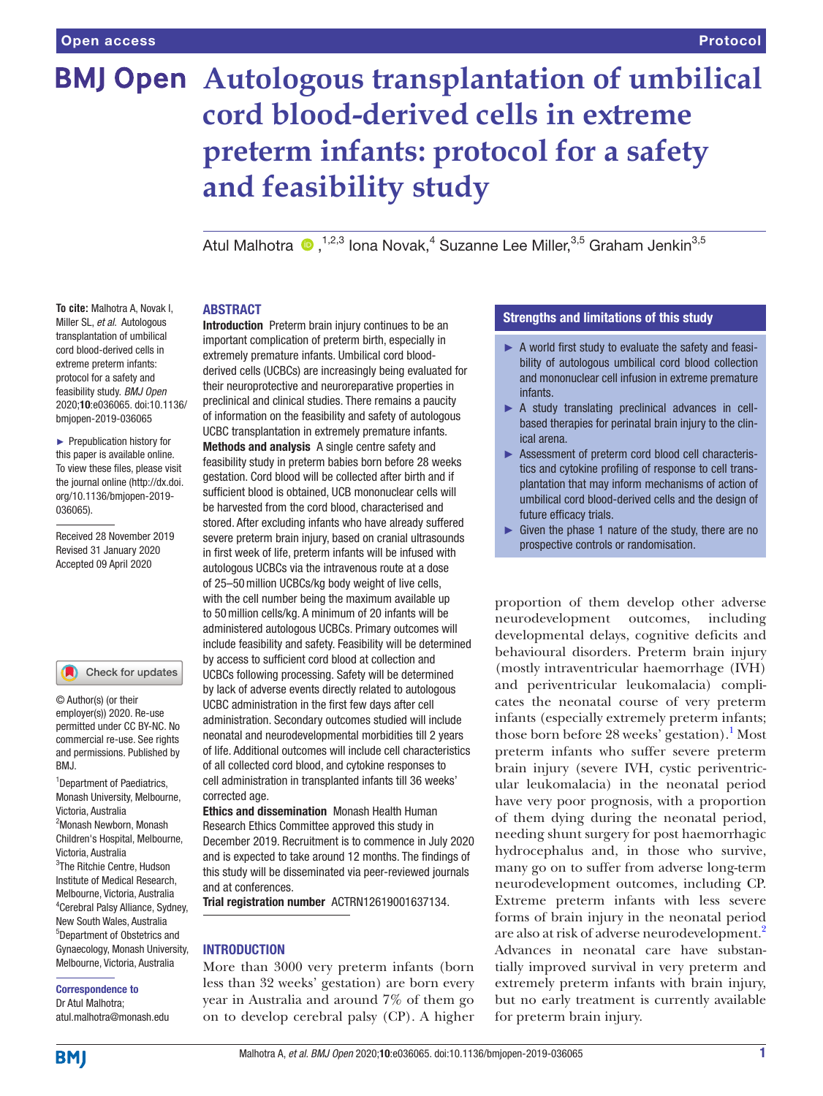# **BMJ Open** Autologous transplantation of umbilical **cord blood-derived cells in extreme preterm infants: protocol for a safety and feasibility study**

Atul Malhotra ®,<sup>1,2,3</sup> Iona Novak,<sup>4</sup> Suzanne Lee Miller,<sup>3,5</sup> Graham Jenkin<sup>3,5</sup>

#### **ABSTRACT**

**To cite:** Malhotra A, Novak I, Miller SL, *et al*. Autologous transplantation of umbilical cord blood-derived cells in extreme preterm infants: protocol for a safety and feasibility study. *BMJ Open* 2020;10:e036065. doi:10.1136/ bmjopen-2019-036065

► Prepublication history for this paper is available online. To view these files, please visit the journal online (http://dx.doi. org/10.1136/bmjopen-2019- 036065).

Received 28 November 2019 Revised 31 January 2020 Accepted 09 April 2020

#### Check for updates

© Author(s) (or their employer(s)) 2020. Re-use permitted under CC BY-NC. No commercial re-use. See rights and permissions. Published by BMJ.

<sup>1</sup>Department of Paediatrics, Monash University, Melbourne, Victoria, Australia <sup>2</sup>Monash Newborn, Monash Children's Hospital, Melbourne, Victoria, Australia 3 The Ritchie Centre, Hudson Institute of Medical Research, Melbourne, Victoria, Australia 4 Cerebral Palsy Alliance, Sydney, New South Wales, Australia 5 Department of Obstetrics and Gynaecology, Monash University, Melbourne, Victoria, Australia

#### Correspondence to Dr Atul Malhotra;

atul.malhotra@monash.edu

important complication of preterm birth, especially in extremely premature infants. Umbilical cord bloodderived cells (UCBCs) are increasingly being evaluated for their neuroprotective and neuroreparative properties in preclinical and clinical studies. There remains a paucity of information on the feasibility and safety of autologous UCBC transplantation in extremely premature infants. Methods and analysis A single centre safety and feasibility study in preterm babies born before 28 weeks gestation. Cord blood will be collected after birth and if sufficient blood is obtained, UCB mononuclear cells will be harvested from the cord blood, characterised and stored. After excluding infants who have already suffered severe preterm brain injury, based on cranial ultrasounds in first week of life, preterm infants will be infused with autologous UCBCs via the intravenous route at a dose of 25–50million UCBCs/kg body weight of live cells, with the cell number being the maximum available up to 50million cells/kg. A minimum of 20 infants will be administered autologous UCBCs. Primary outcomes will include feasibility and safety. Feasibility will be determined by access to sufficient cord blood at collection and UCBCs following processing. Safety will be determined by lack of adverse events directly related to autologous UCBC administration in the first few days after cell administration. Secondary outcomes studied will include neonatal and neurodevelopmental morbidities till 2 years of life. Additional outcomes will include cell characteristics of all collected cord blood, and cytokine responses to cell administration in transplanted infants till 36 weeks' corrected age.

Introduction Preterm brain injury continues to be an

Ethics and dissemination Monash Health Human Research Ethics Committee approved this study in December 2019. Recruitment is to commence in July 2020 and is expected to take around 12 months. The findings of this study will be disseminated via peer-reviewed journals and at conferences.

Trial registration number ACTRN12619001637134.

#### **INTRODUCTION**

More than 3000 very preterm infants (born less than 32 weeks' gestation) are born every year in Australia and around 7% of them go on to develop cerebral palsy (CP). A higher

# Strengths and limitations of this study

- ► A world first study to evaluate the safety and feasibility of autologous umbilical cord blood collection and mononuclear cell infusion in extreme premature infants.
- ► A study translating preclinical advances in cellbased therapies for perinatal brain injury to the clinical arena.
- ► Assessment of preterm cord blood cell characteristics and cytokine profiling of response to cell transplantation that may inform mechanisms of action of umbilical cord blood-derived cells and the design of future efficacy trials.
- $\blacktriangleright$  Given the phase 1 nature of the study, there are no prospective controls or randomisation.

proportion of them develop other adverse neurodevelopment outcomes, including developmental delays, cognitive deficits and behavioural disorders. Preterm brain injury (mostly intraventricular haemorrhage (IVH) and periventricular leukomalacia) complicates the neonatal course of very preterm infants (especially extremely preterm infants; those born before 28 weeks' gestation).<sup>[1](#page-4-0)</sup> Most preterm infants who suffer severe preterm brain injury (severe IVH, cystic periventricular leukomalacia) in the neonatal period have very poor prognosis, with a proportion of them dying during the neonatal period, needing shunt surgery for post haemorrhagic hydrocephalus and, in those who survive, many go on to suffer from adverse long-term neurodevelopment outcomes, including CP. Extreme preterm infants with less severe forms of brain injury in the neonatal period are also at risk of adverse neurodevelopment[.2](#page-4-1) Advances in neonatal care have substantially improved survival in very preterm and extremely preterm infants with brain injury, but no early treatment is currently available for preterm brain injury.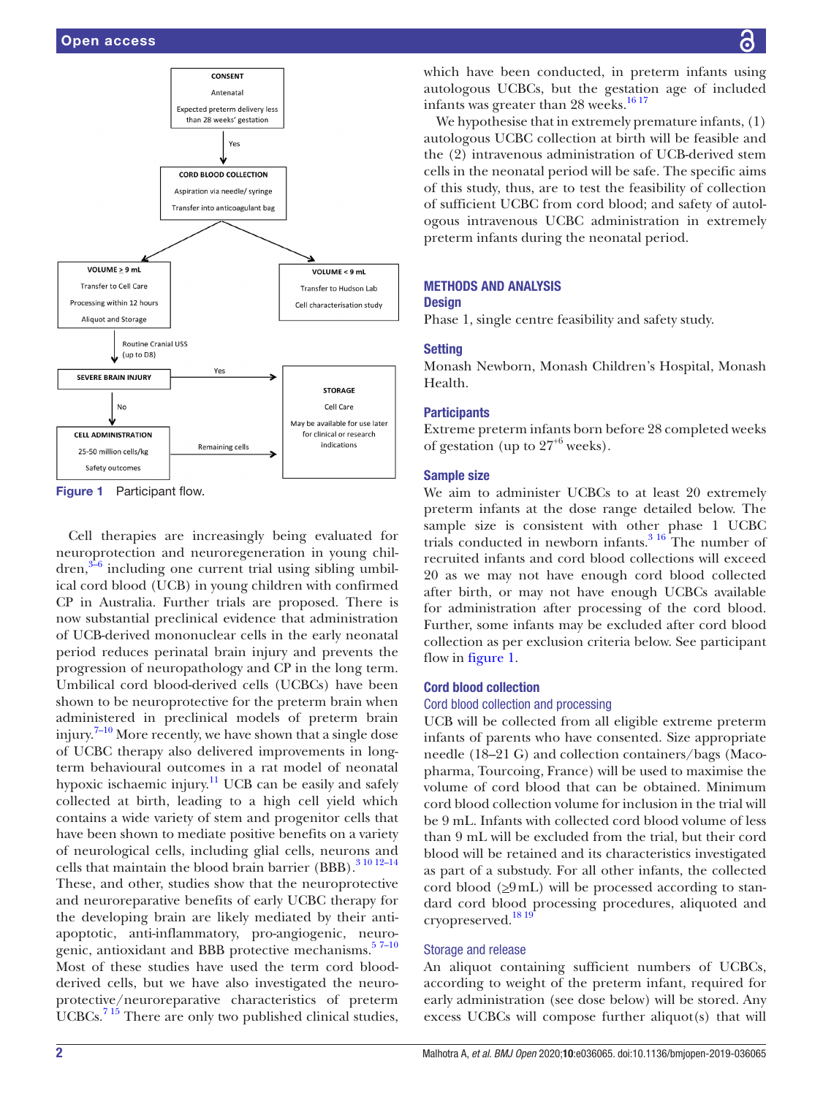

<span id="page-1-0"></span>Figure 1 Participant flow.

Cell therapies are increasingly being evaluated for neuroprotection and neuroregeneration in young chil- $\gamma^{3-6}$  including one current trial using sibling umbilical cord blood (UCB) in young children with confirmed CP in Australia. Further trials are proposed. There is now substantial preclinical evidence that administration of UCB-derived mononuclear cells in the early neonatal period reduces perinatal brain injury and prevents the progression of neuropathology and CP in the long term. Umbilical cord blood-derived cells (UCBCs) have been shown to be neuroprotective for the preterm brain when administered in preclinical models of preterm brain injury[.7–10](#page-4-3) More recently, we have shown that a single dose of UCBC therapy also delivered improvements in longterm behavioural outcomes in a rat model of neonatal hypoxic ischaemic injury.<sup>[11](#page-4-4)</sup> UCB can be easily and safely collected at birth, leading to a high cell yield which contains a wide variety of stem and progenitor cells that have been shown to mediate positive benefits on a variety of neurological cells, including glial cells, neurons and cells that maintain the blood brain barrier (BBB). $31012-14$ These, and other, studies show that the neuroprotective and neuroreparative benefits of early UCBC therapy for the developing brain are likely mediated by their antiapoptotic, anti-inflammatory, pro-angiogenic, neurogenic, antioxidant and BBB protective mechanisms.<sup>57-10</sup> Most of these studies have used the term cord bloodderived cells, but we have also investigated the neuroprotective/neuroreparative characteristics of preterm UCBCs.<sup>715</sup> There are only two published clinical studies,

which have been conducted, in preterm infants using autologous UCBCs, but the gestation age of included infants was greater than  $28$  weeks.<sup>[16 17](#page-4-6)</sup>

We hypothesise that in extremely premature infants, (1) autologous UCBC collection at birth will be feasible and the (2) intravenous administration of UCB-derived stem cells in the neonatal period will be safe. The specific aims of this study, thus, are to test the feasibility of collection of sufficient UCBC from cord blood; and safety of autologous intravenous UCBC administration in extremely preterm infants during the neonatal period.

# Methods and analysis

# **Design**

Phase 1, single centre feasibility and safety study.

# **Setting**

Monash Newborn, Monash Children's Hospital, Monash Health.

# **Participants**

Extreme preterm infants born before 28 completed weeks of gestation (up to  $27^{+6}$  weeks).

# Sample size

We aim to administer UCBCs to at least 20 extremely preterm infants at the dose range detailed below. The sample size is consistent with other phase 1 UCBC trials conducted in newborn infants. $3^{16}$  The number of recruited infants and cord blood collections will exceed 20 as we may not have enough cord blood collected after birth, or may not have enough UCBCs available for administration after processing of the cord blood. Further, some infants may be excluded after cord blood collection as per exclusion criteria below. See participant flow in [figure](#page-1-0) 1.

# Cord blood collection

# Cord blood collection and processing

UCB will be collected from all eligible extreme preterm infants of parents who have consented. Size appropriate needle (18–21 G) and collection containers/bags (Macopharma, Tourcoing, France) will be used to maximise the volume of cord blood that can be obtained. Minimum cord blood collection volume for inclusion in the trial will be 9 mL. Infants with collected cord blood volume of less than 9 mL will be excluded from the trial, but their cord blood will be retained and its characteristics investigated as part of a substudy. For all other infants, the collected cord blood  $(29 \text{ mL})$  will be processed according to standard cord blood processing procedures, aliquoted and cryopreserved.[18 19](#page-4-7)

# Storage and release

An aliquot containing sufficient numbers of UCBCs, according to weight of the preterm infant, required for early administration (see dose below) will be stored. Any excess UCBCs will compose further aliquot(s) that will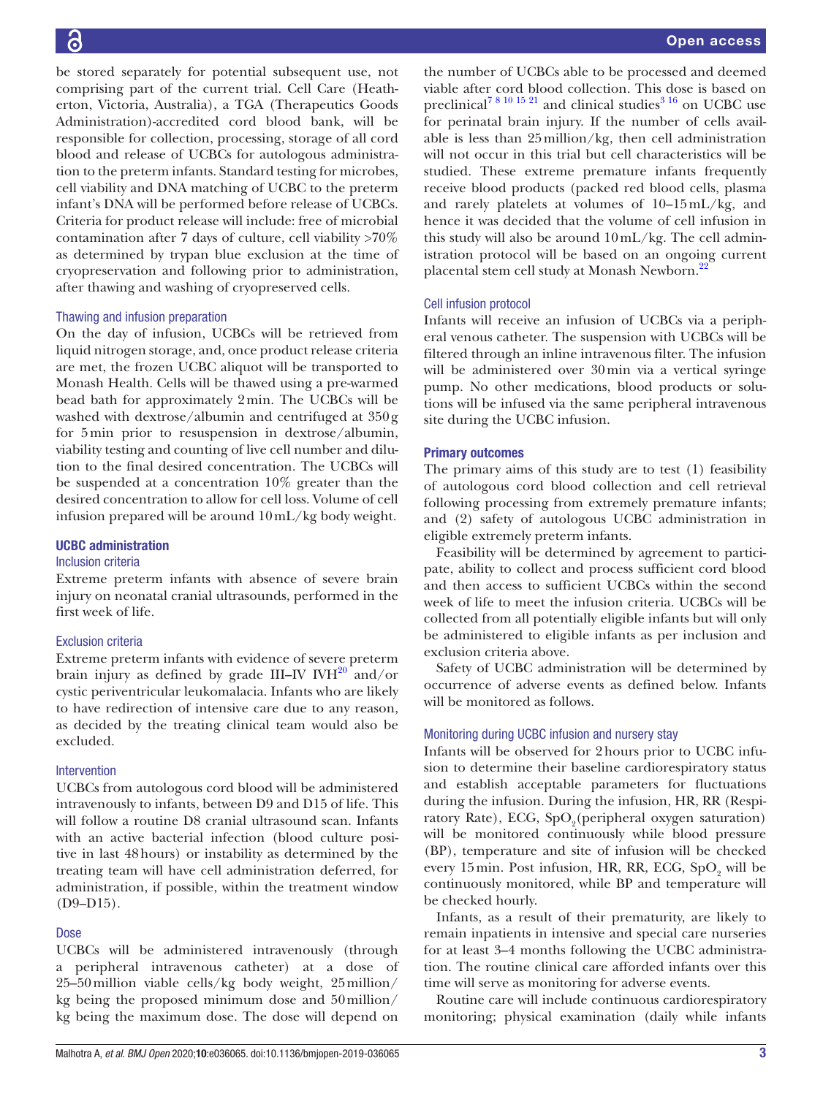be stored separately for potential subsequent use, not comprising part of the current trial. Cell Care (Heatherton, Victoria, Australia), a TGA (Therapeutics Goods Administration)-accredited cord blood bank, will be responsible for collection, processing, storage of all cord blood and release of UCBCs for autologous administration to the preterm infants. Standard testing for microbes, cell viability and DNA matching of UCBC to the preterm infant's DNA will be performed before release of UCBCs. Criteria for product release will include: free of microbial contamination after 7 days of culture, cell viability >70% as determined by trypan blue exclusion at the time of cryopreservation and following prior to administration, after thawing and washing of cryopreserved cells.

# Thawing and infusion preparation

On the day of infusion, UCBCs will be retrieved from liquid nitrogen storage, and, once product release criteria are met, the frozen UCBC aliquot will be transported to Monash Health. Cells will be thawed using a pre-warmed bead bath for approximately 2min. The UCBCs will be washed with dextrose/albumin and centrifuged at 350g for 5min prior to resuspension in dextrose/albumin, viability testing and counting of live cell number and dilution to the final desired concentration. The UCBCs will be suspended at a concentration 10% greater than the desired concentration to allow for cell loss. Volume of cell infusion prepared will be around 10mL/kg body weight.

# UCBC administration

#### Inclusion criteria

Extreme preterm infants with absence of severe brain injury on neonatal cranial ultrasounds, performed in the first week of life.

# Exclusion criteria

Extreme preterm infants with evidence of severe preterm brain injury as defined by grade III–IV IV $H^{20}$  $H^{20}$  $H^{20}$  and/or cystic periventricular leukomalacia. Infants who are likely to have redirection of intensive care due to any reason, as decided by the treating clinical team would also be excluded.

#### Intervention

UCBCs from autologous cord blood will be administered intravenously to infants, between D9 and D15 of life. This will follow a routine D8 cranial ultrasound scan. Infants with an active bacterial infection (blood culture positive in last 48hours) or instability as determined by the treating team will have cell administration deferred, for administration, if possible, within the treatment window  $(D9-D15)$ .

# Dose

UCBCs will be administered intravenously (through a peripheral intravenous catheter) at a dose of 25–50million viable cells/kg body weight, 25million/ kg being the proposed minimum dose and 50million/ kg being the maximum dose. The dose will depend on

the number of UCBCs able to be processed and deemed viable after cord blood collection. This dose is based on preclinical<sup>78 10 15 21</sup> and clinical studies<sup>[3 16](#page-4-2)</sup> on UCBC use for perinatal brain injury. If the number of cells available is less than 25million/kg, then cell administration will not occur in this trial but cell characteristics will be studied. These extreme premature infants frequently receive blood products (packed red blood cells, plasma and rarely platelets at volumes of 10–15mL/kg, and hence it was decided that the volume of cell infusion in this study will also be around 10mL/kg. The cell administration protocol will be based on an ongoing current placental stem cell study at Monash Newborn.<sup>22</sup>

# Cell infusion protocol

Infants will receive an infusion of UCBCs via a peripheral venous catheter. The suspension with UCBCs will be filtered through an inline intravenous filter. The infusion will be administered over 30min via a vertical syringe pump. No other medications, blood products or solutions will be infused via the same peripheral intravenous site during the UCBC infusion.

# Primary outcomes

The primary aims of this study are to test (1) feasibility of autologous cord blood collection and cell retrieval following processing from extremely premature infants; and (2) safety of autologous UCBC administration in eligible extremely preterm infants.

Feasibility will be determined by agreement to participate, ability to collect and process sufficient cord blood and then access to sufficient UCBCs within the second week of life to meet the infusion criteria. UCBCs will be collected from all potentially eligible infants but will only be administered to eligible infants as per inclusion and exclusion criteria above.

Safety of UCBC administration will be determined by occurrence of adverse events as defined below. Infants will be monitored as follows.

# Monitoring during UCBC infusion and nursery stay

Infants will be observed for 2hours prior to UCBC infusion to determine their baseline cardiorespiratory status and establish acceptable parameters for fluctuations during the infusion. During the infusion, HR, RR (Respiratory Rate), ECG, SpO<sub>2</sub>(peripheral oxygen saturation) will be monitored continuously while blood pressure (BP), temperature and site of infusion will be checked every 15 min. Post infusion, HR, RR, ECG,  $SpO_2$  will be continuously monitored, while BP and temperature will be checked hourly.

Infants, as a result of their prematurity, are likely to remain inpatients in intensive and special care nurseries for at least 3–4 months following the UCBC administration. The routine clinical care afforded infants over this time will serve as monitoring for adverse events.

Routine care will include continuous cardiorespiratory monitoring; physical examination (daily while infants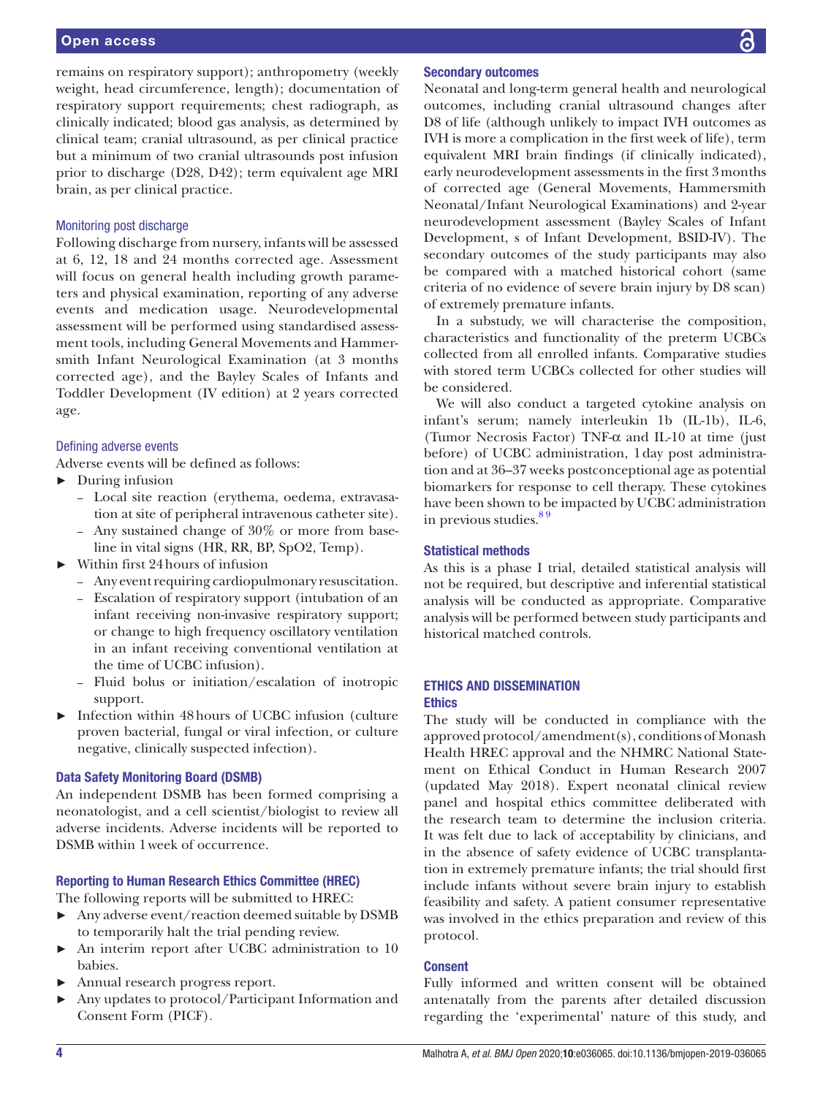# Open access

remains on respiratory support); anthropometry (weekly weight, head circumference, length); documentation of respiratory support requirements; chest radiograph, as clinically indicated; blood gas analysis, as determined by clinical team; cranial ultrasound, as per clinical practice but a minimum of two cranial ultrasounds post infusion prior to discharge (D28, D42); term equivalent age MRI brain, as per clinical practice.

# Monitoring post discharge

Following discharge from nursery, infants will be assessed at 6, 12, 18 and 24 months corrected age. Assessment will focus on general health including growth parameters and physical examination, reporting of any adverse events and medication usage. Neurodevelopmental assessment will be performed using standardised assessment tools, including General Movements and Hammersmith Infant Neurological Examination (at 3 months corrected age), and the Bayley Scales of Infants and Toddler Development (IV edition) at 2 years corrected age.

#### Defining adverse events

Adverse events will be defined as follows:

- ► During infusion
	- Local site reaction (erythema, oedema, extravasation at site of peripheral intravenous catheter site).
	- Any sustained change of 30% or more from baseline in vital signs (HR, RR, BP, SpO2, Temp).
- ► Within first 24hours of infusion
	- Any event requiring cardiopulmonary resuscitation.
	- Escalation of respiratory support (intubation of an infant receiving non-invasive respiratory support; or change to high frequency oscillatory ventilation in an infant receiving conventional ventilation at the time of UCBC infusion).
	- Fluid bolus or initiation/escalation of inotropic support.
- ► Infection within 48hours of UCBC infusion (culture proven bacterial, fungal or viral infection, or culture negative, clinically suspected infection).

# Data Safety Monitoring Board (DSMB)

An independent DSMB has been formed comprising a neonatologist, and a cell scientist/biologist to review all adverse incidents. Adverse incidents will be reported to DSMB within 1week of occurrence.

## Reporting to Human Research Ethics Committee (HREC)

The following reports will be submitted to HREC:

- Any adverse event/reaction deemed suitable by DSMB to temporarily halt the trial pending review.
- ► An interim report after UCBC administration to 10 babies.
- ► Annual research progress report.
- ► Any updates to protocol/Participant Information and Consent Form (PICF).

Neonatal and long-term general health and neurological outcomes, including cranial ultrasound changes after D8 of life (although unlikely to impact IVH outcomes as IVH is more a complication in the first week of life), term equivalent MRI brain findings (if clinically indicated), early neurodevelopment assessments in the first 3months of corrected age (General Movements, Hammersmith Neonatal/Infant Neurological Examinations) and 2-year neurodevelopment assessment (Bayley Scales of Infant Development, s of Infant Development, BSID-IV). The secondary outcomes of the study participants may also be compared with a matched historical cohort (same criteria of no evidence of severe brain injury by D8 scan) of extremely premature infants.

In a substudy, we will characterise the composition, characteristics and functionality of the preterm UCBCs collected from all enrolled infants. Comparative studies with stored term UCBCs collected for other studies will be considered.

We will also conduct a targeted cytokine analysis on infant's serum; namely interleukin 1b (IL-1b), IL-6, (Tumor Necrosis Factor) TNF-α and IL-10 at time (just before) of UCBC administration, 1day post administration and at 36–37 weeks postconceptional age as potential biomarkers for response to cell therapy. These cytokines have been shown to be impacted by UCBC administration in previous studies.<sup>89</sup>

## Statistical methods

As this is a phase I trial, detailed statistical analysis will not be required, but descriptive and inferential statistical analysis will be conducted as appropriate. Comparative analysis will be performed between study participants and historical matched controls.

## Ethics and dissemination Ethics

The study will be conducted in compliance with the approved protocol/amendment(s), conditions of Monash Health HREC approval and the NHMRC National Statement on Ethical Conduct in Human Research 2007 (updated May 2018). Expert neonatal clinical review panel and hospital ethics committee deliberated with the research team to determine the inclusion criteria. It was felt due to lack of acceptability by clinicians, and in the absence of safety evidence of UCBC transplantation in extremely premature infants; the trial should first include infants without severe brain injury to establish feasibility and safety. A patient consumer representative was involved in the ethics preparation and review of this protocol.

# Consent

Fully informed and written consent will be obtained antenatally from the parents after detailed discussion regarding the 'experimental' nature of this study, and